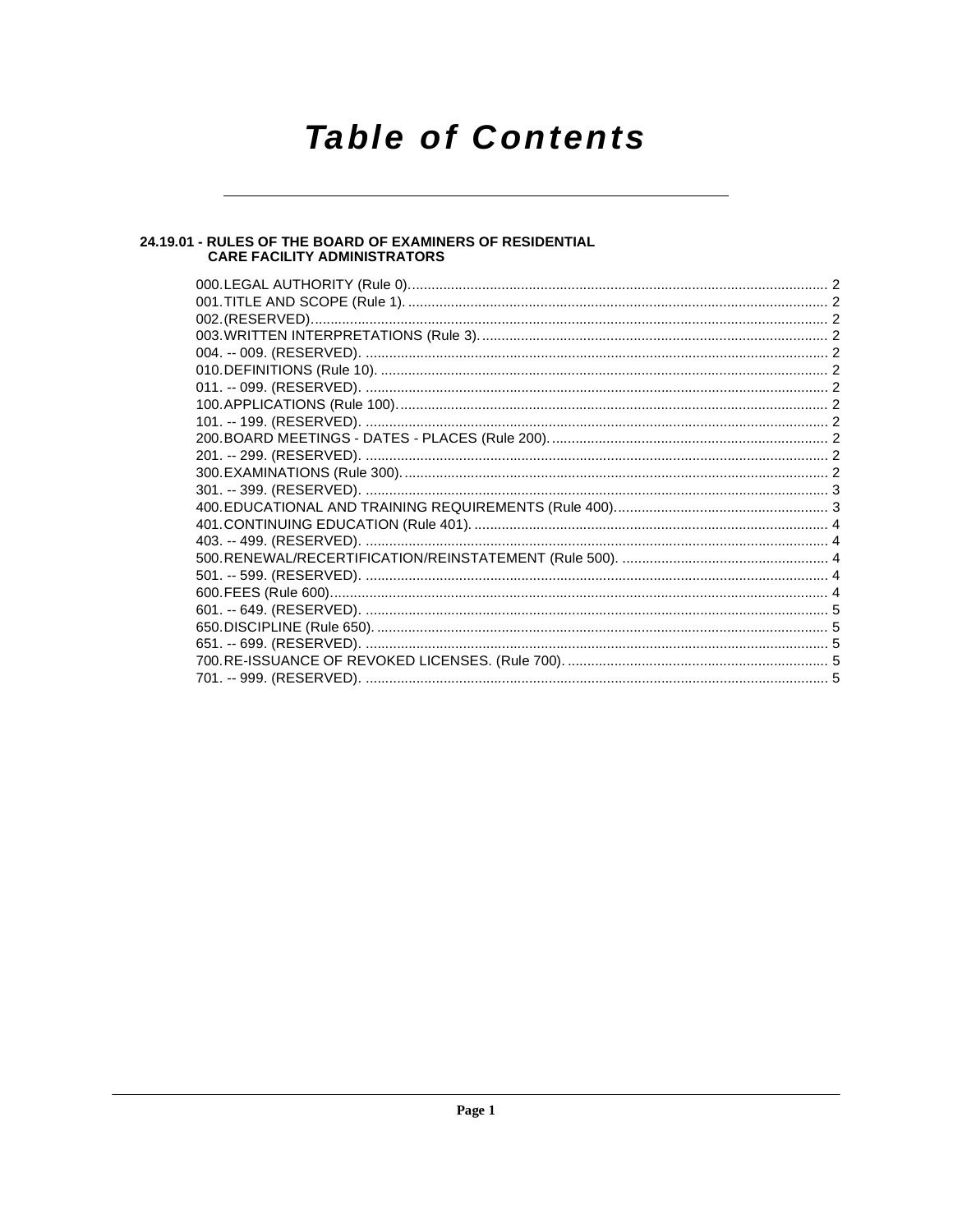## **Table of Contents**

## 24.19.01 - RULES OF THE BOARD OF EXAMINERS OF RESIDENTIAL<br>CARE FACILITY ADMINISTRATORS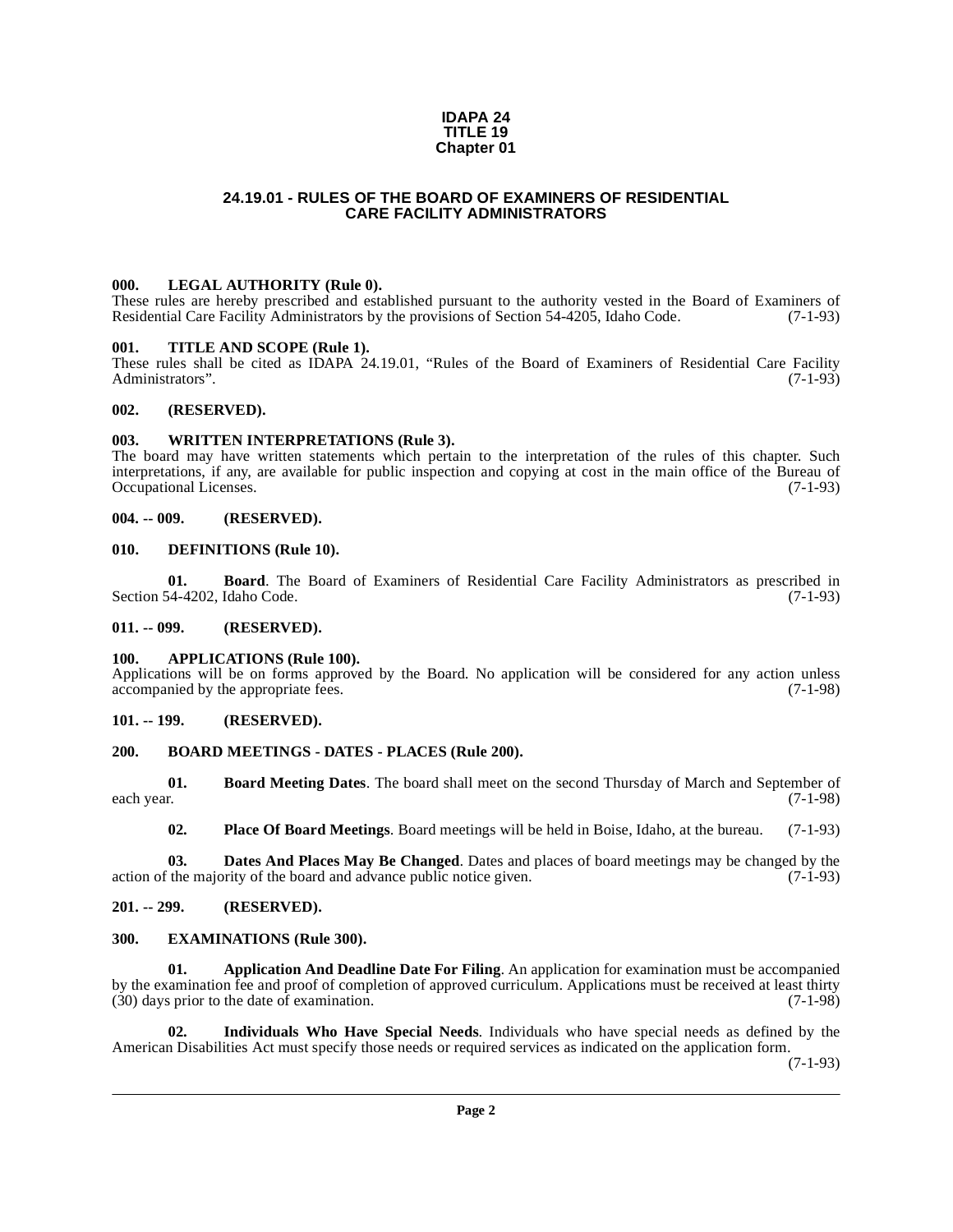#### **IDAPA 24 TITLE 19 Chapter 01**

### **24.19.01 - RULES OF THE BOARD OF EXAMINERS OF RESIDENTIAL CARE FACILITY ADMINISTRATORS**

#### <span id="page-1-1"></span><span id="page-1-0"></span>**000. LEGAL AUTHORITY (Rule 0).**

These rules are hereby prescribed and established pursuant to the authority vested in the Board of Examiners of Residential Care Facility Administrators by the provisions of Section 54-4205, Idaho Code. (7-1-93)

#### <span id="page-1-2"></span>**001. TITLE AND SCOPE (Rule 1).**

These rules shall be cited as IDAPA 24.19.01, "Rules of the Board of Examiners of Residential Care Facility Administrators". (7-1-93) Administrators".

#### <span id="page-1-3"></span>**002. (RESERVED).**

#### <span id="page-1-4"></span>**003. WRITTEN INTERPRETATIONS (Rule 3).**

The board may have written statements which pertain to the interpretation of the rules of this chapter. Such interpretations, if any, are available for public inspection and copying at cost in the main office of the Bureau of Occupational Licenses. (7-1-93)

#### <span id="page-1-5"></span>**004. -- 009. (RESERVED).**

#### <span id="page-1-19"></span><span id="page-1-6"></span>**010. DEFINITIONS (Rule 10).**

<span id="page-1-15"></span>**01. Board**. The Board of Examiners of Residential Care Facility Administrators as prescribed in Section 54-4202, Idaho Code. (7-1-93)

#### <span id="page-1-7"></span>**011. -- 099. (RESERVED).**

#### <span id="page-1-14"></span><span id="page-1-8"></span>**100. APPLICATIONS (Rule 100).**

Applications will be on forms approved by the Board. No application will be considered for any action unless accompanied by the appropriate fees. (7-1-98)

#### <span id="page-1-9"></span>**101. -- 199. (RESERVED).**

#### <span id="page-1-17"></span><span id="page-1-10"></span>**200. BOARD MEETINGS - DATES - PLACES (Rule 200).**

**01. Board Meeting Dates**. The board shall meet on the second Thursday of March and September of each year. (7-1-98) each year. (7-1-98)

<span id="page-1-22"></span><span id="page-1-18"></span><span id="page-1-16"></span>**02. Place Of Board Meetings**. Board meetings will be held in Boise, Idaho, at the bureau. (7-1-93)

**03. Dates And Places May Be Changed**. Dates and places of board meetings may be changed by the action of the majority of the board and advance public notice given. (7-1-93)

#### <span id="page-1-11"></span>**201. -- 299. (RESERVED).**

#### <span id="page-1-20"></span><span id="page-1-12"></span>**300. EXAMINATIONS (Rule 300).**

<span id="page-1-13"></span>**01. Application And Deadline Date For Filing**. An application for examination must be accompanied by the examination fee and proof of completion of approved curriculum. Applications must be received at least thirty (30) days prior to the date of examination. (7-1-98)

<span id="page-1-21"></span>**02. Individuals Who Have Special Needs**. Individuals who have special needs as defined by the American Disabilities Act must specify those needs or required services as indicated on the application form.

(7-1-93)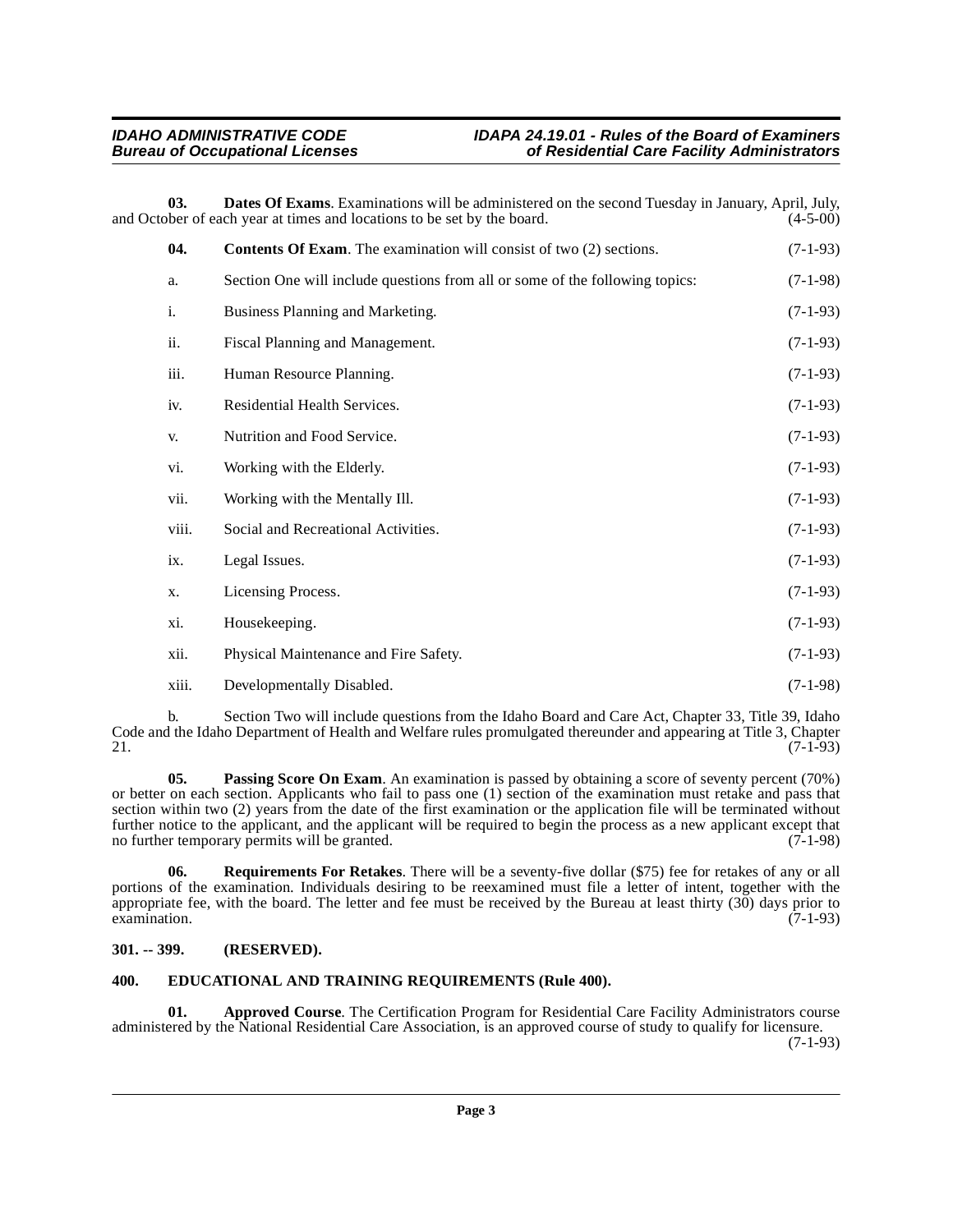### **IDAHO ADMINISTRATIVE CODE IDAPA 24.19.01 - Rules of the Board of Examiners bureau Care Facility Administrators**

**03. Dates Of Exams**. Examinations will be administered on the second Tuesday in January, April, July, bber of each year at times and locations to be set by the board. (4-5-00) and October of each year at times and locations to be set by the board.

<span id="page-2-4"></span><span id="page-2-3"></span>

| 04.   | <b>Contents Of Exam.</b> The examination will consist of two (2) sections.   | $(7-1-93)$ |
|-------|------------------------------------------------------------------------------|------------|
| a.    | Section One will include questions from all or some of the following topics: | $(7-1-98)$ |
| i.    | Business Planning and Marketing.                                             | $(7-1-93)$ |
| ii.   | Fiscal Planning and Management.                                              | $(7-1-93)$ |
| iii.  | Human Resource Planning.                                                     | $(7-1-93)$ |
| iv.   | Residential Health Services.                                                 | $(7-1-93)$ |
| V.    | Nutrition and Food Service.                                                  | $(7-1-93)$ |
| vi.   | Working with the Elderly.                                                    | $(7-1-93)$ |
| vii.  | Working with the Mentally Ill.                                               | $(7-1-93)$ |
| viii. | Social and Recreational Activities.                                          | $(7-1-93)$ |
| ix.   | Legal Issues.                                                                | $(7-1-93)$ |
| X.    | Licensing Process.                                                           | $(7-1-93)$ |
| xi.   | Housekeeping.                                                                | $(7-1-93)$ |
| xii.  | Physical Maintenance and Fire Safety.                                        | $(7-1-93)$ |
| xiii. | Developmentally Disabled.                                                    | $(7-1-98)$ |

b. Section Two will include questions from the Idaho Board and Care Act, Chapter 33, Title 39, Idaho Code and the Idaho Department of Health and Welfare rules promulgated thereunder and appearing at Title 3, Chapter 21. 21.  $(7-1-93)$ 

<span id="page-2-6"></span>**05. Passing Score On Exam**. An examination is passed by obtaining a score of seventy percent (70%) or better on each section. Applicants who fail to pass one (1) section of the examination must retake and pass that section within two (2) years from the date of the first examination or the application file will be terminated without further notice to the applicant, and the applicant will be required to begin the process as a new applicant except that no further temporary permits will be granted. (7-1-98)

<span id="page-2-7"></span>**06. Requirements For Retakes**. There will be a seventy-five dollar (\$75) fee for retakes of any or all portions of the examination. Individuals desiring to be reexamined must file a letter of intent, together with the appropriate fee, with the board. The letter and fee must be received by the Bureau at least thirty (30) days prior to  $\alpha$  examination.  $(7-1-93)$ 

#### <span id="page-2-0"></span>**301. -- 399. (RESERVED).**

#### <span id="page-2-5"></span><span id="page-2-1"></span>**400. EDUCATIONAL AND TRAINING REQUIREMENTS (Rule 400).**

<span id="page-2-2"></span>**01. Approved Course**. The Certification Program for Residential Care Facility Administrators course administered by the National Residential Care Association, is an approved course of study to qualify for licensure. (7-1-93)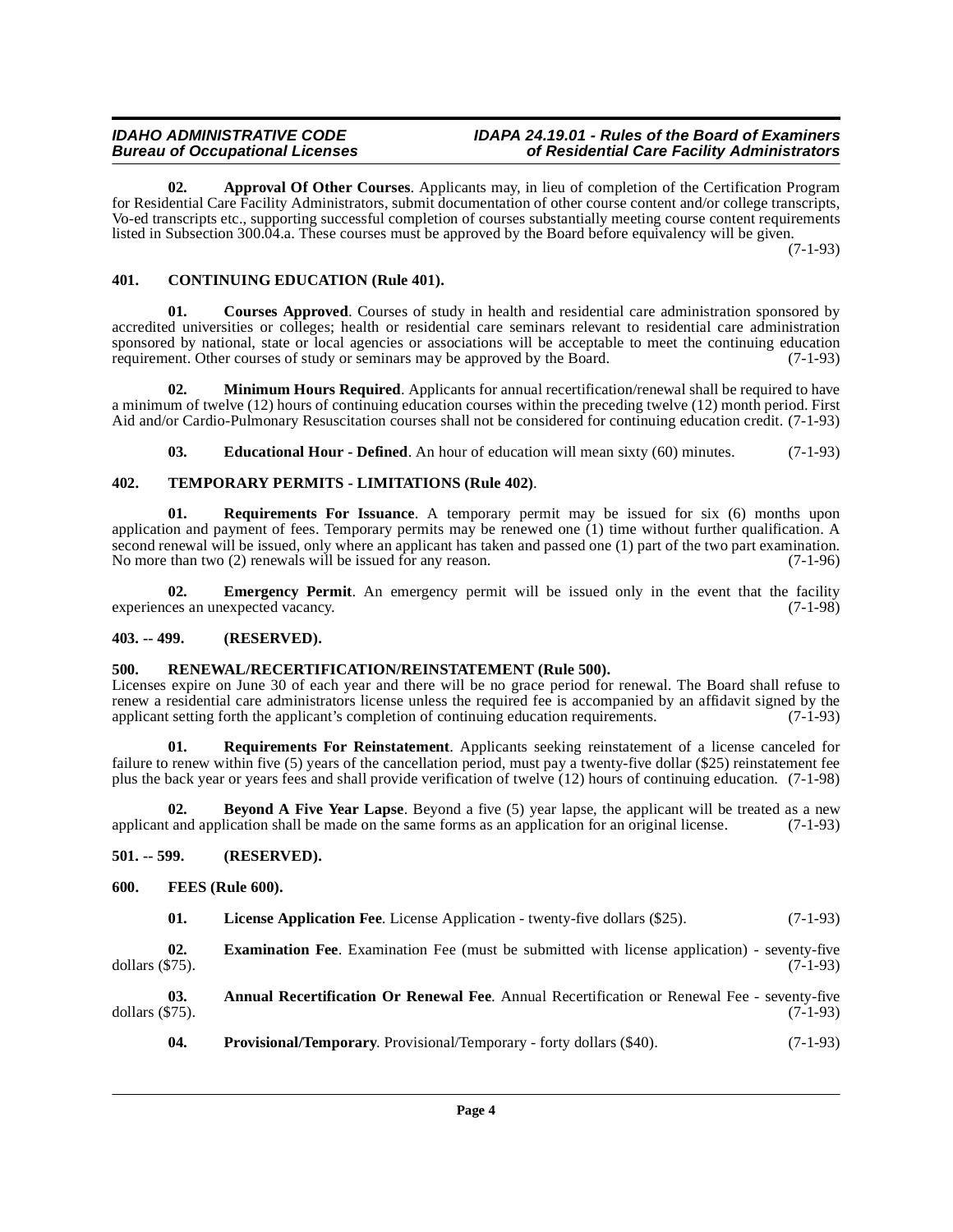#### **IDAHO ADMINISTRATIVE CODE IDAPA 24.19.01 - Rules of the Board of Examiners bureau Care Facility Administrators**

<span id="page-3-6"></span>**02. Approval Of Other Courses**. Applicants may, in lieu of completion of the Certification Program for Residential Care Facility Administrators, submit documentation of other course content and/or college transcripts, Vo-ed transcripts etc., supporting successful completion of courses substantially meeting course content requirements listed in Subsection 300.04.a. These courses must be approved by the Board before equivalency will be given.

(7-1-93)

#### <span id="page-3-8"></span><span id="page-3-0"></span>**401. CONTINUING EDUCATION (Rule 401).**

<span id="page-3-9"></span>**01. Courses Approved**. Courses of study in health and residential care administration sponsored by accredited universities or colleges; health or residential care seminars relevant to residential care administration sponsored by national, state or local agencies or associations will be acceptable to meet the continuing education requirement. Other courses of study or seminars may be approved by the Board. (7-1-93) requirement. Other courses of study or seminars may be approved by the Board.

**02. Minimum Hours Required**. Applicants for annual recertification/renewal shall be required to have a minimum of twelve (12) hours of continuing education courses within the preceding twelve (12) month period. First Aid and/or Cardio-Pulmonary Resuscitation courses shall not be considered for continuing education credit. (7-1-93)

<span id="page-3-19"></span><span id="page-3-17"></span><span id="page-3-10"></span>**03. Educational Hour - Defined**. An hour of education will mean sixty (60) minutes. (7-1-93)

#### **402. TEMPORARY PERMITS - LIMITATIONS (Rule 402)**.

**01. Requirements For Issuance**. A temporary permit may be issued for six (6) months upon application and payment of fees. Temporary permits may be renewed one (1) time without further qualification. A second renewal will be issued, only where an applicant has taken and passed one (1) part of the two part examination. No more than two (2) renewals will be issued for any reason. (7-1-96)

<span id="page-3-11"></span>**02. Emergency Permit**. An emergency permit will be issued only in the event that the facility ces an unexpected vacancy. (7-1-98) experiences an unexpected vacancy.

#### <span id="page-3-1"></span>**403. -- 499. (RESERVED).**

#### <span id="page-3-16"></span><span id="page-3-2"></span>**500. RENEWAL/RECERTIFICATION/REINSTATEMENT (Rule 500).**

Licenses expire on June 30 of each year and there will be no grace period for renewal. The Board shall refuse to renew a residential care administrators license unless the required fee is accompanied by an affidavit signed by the applicant setting forth the applicant's completion of continuing education requirements. (7-1-93) applicant setting forth the applicant's completion of continuing education requirements.

<span id="page-3-18"></span>**01. Requirements For Reinstatement**. Applicants seeking reinstatement of a license canceled for failure to renew within five (5) years of the cancellation period, must pay a twenty-five dollar (\$25) reinstatement fee plus the back year or years fees and shall provide verification of twelve (12) hours of continuing education. (7-1-98)

<span id="page-3-7"></span>**02. Beyond A Five Year Lapse**. Beyond a five (5) year lapse, the applicant will be treated as a new applicant and application shall be made on the same forms as an application for an original license. (7-1-93)

#### <span id="page-3-3"></span>**501. -- 599. (RESERVED).**

#### <span id="page-3-4"></span>**600. FEES (Rule 600).**

<span id="page-3-14"></span><span id="page-3-13"></span><span id="page-3-12"></span>**01.** License Application Fee. License Application - twenty-five dollars (\$25). (7-1-93)

**02. Examination Fee**. Examination Fee (must be submitted with license application) - seventy-five (575). dollars  $(\$75)$ .

**03. Annual Recertification Or Renewal Fee**. Annual Recertification or Renewal Fee - seventy-five dollars (\$75). (7-1-93)

<span id="page-3-15"></span><span id="page-3-5"></span>**04. Provisional/Temporary**. Provisional/Temporary - forty dollars (\$40). (7-1-93)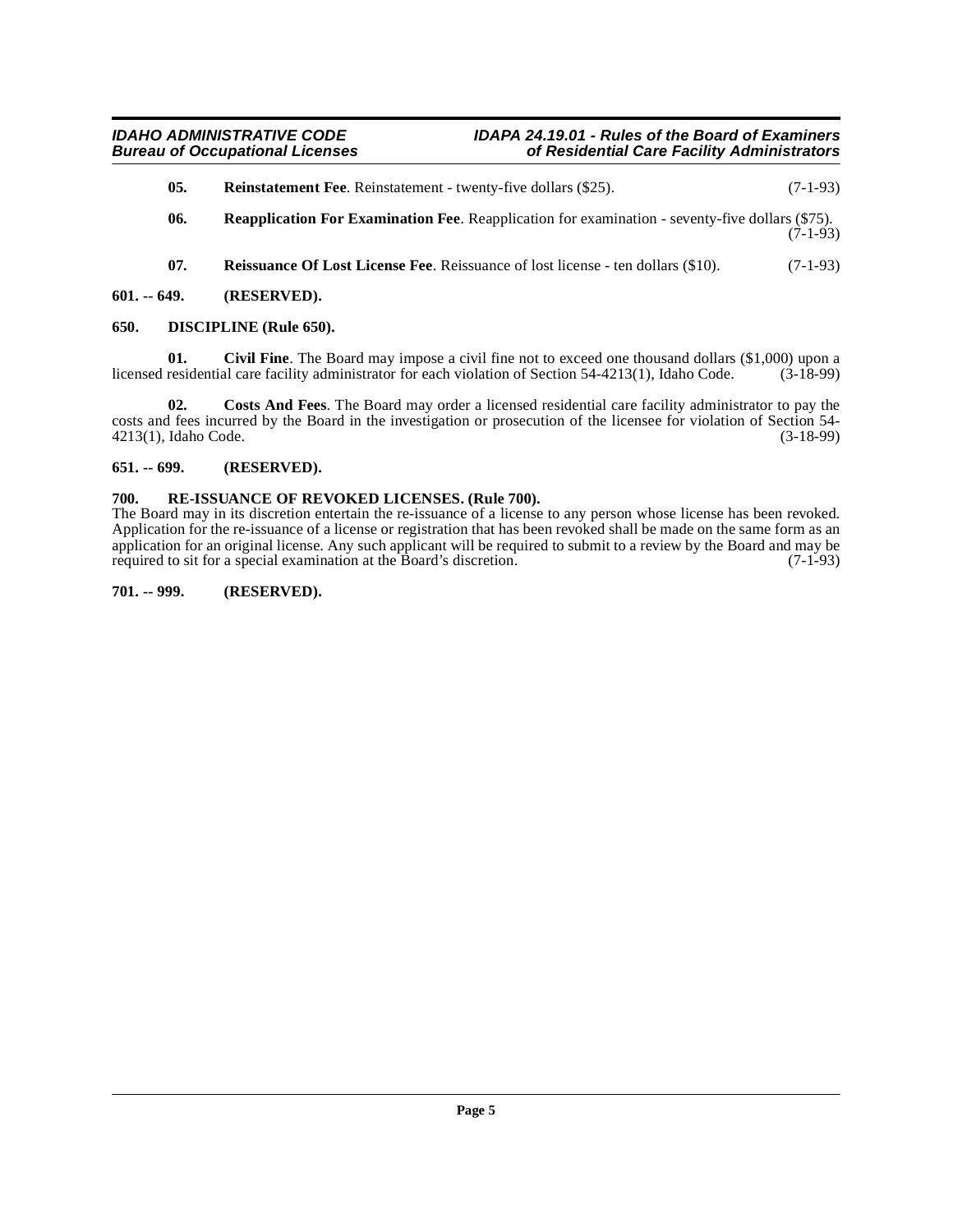- <span id="page-4-11"></span>**05.** Reinstatement Fee. Reinstatement - twenty-five dollars (\$25). (7-1-93)
- <span id="page-4-10"></span>**06. Reapplication For Examination Fee**. Reapplication for examination - seventy-five dollars (\$75). (7-1-93)
- <span id="page-4-8"></span><span id="page-4-7"></span><span id="page-4-5"></span>**07.** Reissuance Of Lost License Fee. Reissuance of lost license - ten dollars (\$10). (7-1-93)
- <span id="page-4-0"></span>**601. -- 649. (RESERVED).**

#### <span id="page-4-1"></span>**650. DISCIPLINE (Rule 650).**

**01.** Civil Fine. The Board may impose a civil fine not to exceed one thousand dollars (\$1,000) upon a residential care facility administrator for each violation of Section 54-4213(1). Idaho Code. (3-18-99) licensed residential care facility administrator for each violation of Section 54-4213(1), Idaho Code.

<span id="page-4-6"></span>**02. Costs And Fees**. The Board may order a licensed residential care facility administrator to pay the costs and fees incurred by the Board in the investigation or prosecution of the licensee for violation of Section 54-<br>4213(1), Idaho Code. (3-18-99) 4213(1), Idaho Code.

#### <span id="page-4-2"></span>**651. -- 699. (RESERVED).**

#### <span id="page-4-9"></span><span id="page-4-3"></span>**700. RE-ISSUANCE OF REVOKED LICENSES. (Rule 700).**

The Board may in its discretion entertain the re-issuance of a license to any person whose license has been revoked. Application for the re-issuance of a license or registration that has been revoked shall be made on the same form as an application for an original license. Any such applicant will be required to submit to a review by the Board and may be required to sit for a special examination at the Board's discretion. (7-1-93)

#### <span id="page-4-4"></span>**701. -- 999. (RESERVED).**